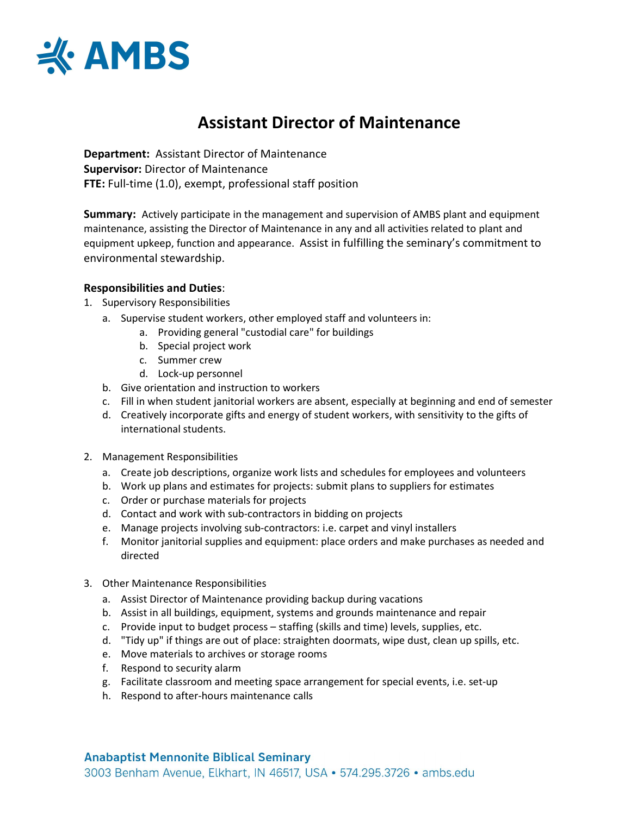

# Assistant Director of Maintenance

Department: Assistant Director of Maintenance Supervisor: Director of Maintenance FTE: Full-time (1.0), exempt, professional staff position

**Summary:** Actively participate in the management and supervision of AMBS plant and equipment maintenance, assisting the Director of Maintenance in any and all activities related to plant and equipment upkeep, function and appearance. Assist in fulfilling the seminary's commitment to environmental stewardship.

### Responsibilities and Duties:

- 1. Supervisory Responsibilities
	- a. Supervise student workers, other employed staff and volunteers in:
		- a. Providing general "custodial care" for buildings
		- b. Special project work
		- c. Summer crew
		- d. Lock-up personnel
	- b. Give orientation and instruction to workers
	- c. Fill in when student janitorial workers are absent, especially at beginning and end of semester
	- d. Creatively incorporate gifts and energy of student workers, with sensitivity to the gifts of international students.
- 2. Management Responsibilities
	- a. Create job descriptions, organize work lists and schedules for employees and volunteers
	- b. Work up plans and estimates for projects: submit plans to suppliers for estimates
	- c. Order or purchase materials for projects
	- d. Contact and work with sub-contractors in bidding on projects
	- e. Manage projects involving sub-contractors: i.e. carpet and vinyl installers
	- f. Monitor janitorial supplies and equipment: place orders and make purchases as needed and directed
- 3. Other Maintenance Responsibilities
	- a. Assist Director of Maintenance providing backup during vacations
	- b. Assist in all buildings, equipment, systems and grounds maintenance and repair
	- c. Provide input to budget process staffing (skills and time) levels, supplies, etc.
	- d. "Tidy up" if things are out of place: straighten doormats, wipe dust, clean up spills, etc.
	- e. Move materials to archives or storage rooms
	- f. Respond to security alarm
	- g. Facilitate classroom and meeting space arrangement for special events, i.e. set-up
	- h. Respond to after-hours maintenance calls